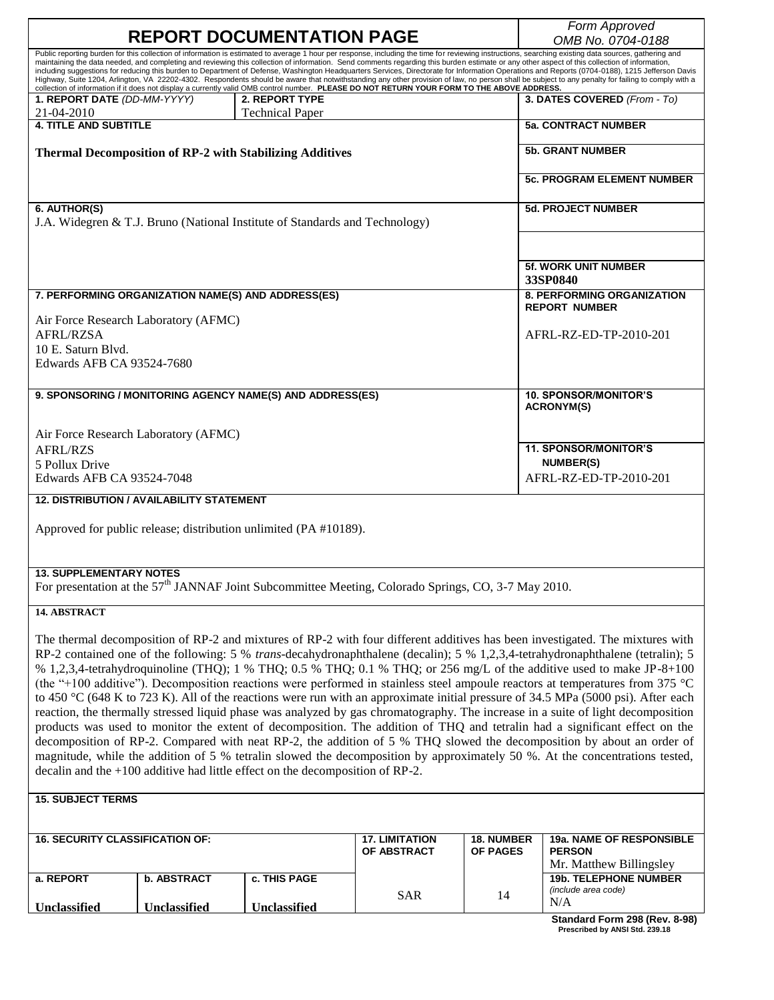|                                                                                                                                                                                                                                                                                                                                                                                                                                                                                                                                                                                                                                                                                                                                                                                                                                                                                                                                                                                                                                                                                                                                                                                                                                                                                       |                                                    |                                                                 |                                      |                                      | Form Approved                                           |  |  |
|---------------------------------------------------------------------------------------------------------------------------------------------------------------------------------------------------------------------------------------------------------------------------------------------------------------------------------------------------------------------------------------------------------------------------------------------------------------------------------------------------------------------------------------------------------------------------------------------------------------------------------------------------------------------------------------------------------------------------------------------------------------------------------------------------------------------------------------------------------------------------------------------------------------------------------------------------------------------------------------------------------------------------------------------------------------------------------------------------------------------------------------------------------------------------------------------------------------------------------------------------------------------------------------|----------------------------------------------------|-----------------------------------------------------------------|--------------------------------------|--------------------------------------|---------------------------------------------------------|--|--|
| <b>REPORT DOCUMENTATION PAGE</b>                                                                                                                                                                                                                                                                                                                                                                                                                                                                                                                                                                                                                                                                                                                                                                                                                                                                                                                                                                                                                                                                                                                                                                                                                                                      |                                                    |                                                                 |                                      |                                      | OMB No. 0704-0188                                       |  |  |
| Public reporting burden for this collection of information is estimated to average 1 hour per response, including the time for reviewing instructions, searching existing data sources, gathering and<br>maintaining the data needed, and completing and reviewing this collection of information. Send comments regarding this burden estimate or any other aspect of this collection of information,<br>including suggestions for reducing this burden to Department of Defense, Washington Headquarters Services, Directorate for Information Operations and Reports (0704-0188), 1215 Jefferson Davis<br>Highway, Suite 1204, Arlington, VA 22202-4302. Respondents should be aware that notwithstanding any other provision of law, no person shall be subject to any penalty for failing to comply with a<br>collection of information if it does not display a currently valid OMB control number. PLEASE DO NOT RETURN YOUR FORM TO THE ABOVE ADDRESS.                                                                                                                                                                                                                                                                                                                        |                                                    |                                                                 |                                      |                                      |                                                         |  |  |
| 1. REPORT DATE (DD-MM-YYYY)<br>21-04-2010                                                                                                                                                                                                                                                                                                                                                                                                                                                                                                                                                                                                                                                                                                                                                                                                                                                                                                                                                                                                                                                                                                                                                                                                                                             |                                                    | 2. REPORT TYPE<br><b>Technical Paper</b>                        |                                      |                                      | 3. DATES COVERED (From - To)                            |  |  |
| <b>4. TITLE AND SUBTITLE</b>                                                                                                                                                                                                                                                                                                                                                                                                                                                                                                                                                                                                                                                                                                                                                                                                                                                                                                                                                                                                                                                                                                                                                                                                                                                          |                                                    |                                                                 |                                      |                                      | <b>5a. CONTRACT NUMBER</b>                              |  |  |
|                                                                                                                                                                                                                                                                                                                                                                                                                                                                                                                                                                                                                                                                                                                                                                                                                                                                                                                                                                                                                                                                                                                                                                                                                                                                                       |                                                    | <b>Thermal Decomposition of RP-2 with Stabilizing Additives</b> |                                      |                                      | <b>5b. GRANT NUMBER</b>                                 |  |  |
|                                                                                                                                                                                                                                                                                                                                                                                                                                                                                                                                                                                                                                                                                                                                                                                                                                                                                                                                                                                                                                                                                                                                                                                                                                                                                       |                                                    |                                                                 |                                      |                                      | <b>5c. PROGRAM ELEMENT NUMBER</b>                       |  |  |
| 6. AUTHOR(S)<br>J.A. Widegren & T.J. Bruno (National Institute of Standards and Technology)                                                                                                                                                                                                                                                                                                                                                                                                                                                                                                                                                                                                                                                                                                                                                                                                                                                                                                                                                                                                                                                                                                                                                                                           |                                                    |                                                                 |                                      |                                      | <b>5d. PROJECT NUMBER</b>                               |  |  |
|                                                                                                                                                                                                                                                                                                                                                                                                                                                                                                                                                                                                                                                                                                                                                                                                                                                                                                                                                                                                                                                                                                                                                                                                                                                                                       |                                                    |                                                                 |                                      |                                      | <b>5f. WORK UNIT NUMBER</b><br>33SP0840                 |  |  |
|                                                                                                                                                                                                                                                                                                                                                                                                                                                                                                                                                                                                                                                                                                                                                                                                                                                                                                                                                                                                                                                                                                                                                                                                                                                                                       | 7. PERFORMING ORGANIZATION NAME(S) AND ADDRESS(ES) |                                                                 |                                      |                                      | <b>8. PERFORMING ORGANIZATION</b>                       |  |  |
| Air Force Research Laboratory (AFMC)                                                                                                                                                                                                                                                                                                                                                                                                                                                                                                                                                                                                                                                                                                                                                                                                                                                                                                                                                                                                                                                                                                                                                                                                                                                  |                                                    |                                                                 |                                      |                                      | <b>REPORT NUMBER</b>                                    |  |  |
| <b>AFRL/RZSA</b><br>10 E. Saturn Blyd.<br>Edwards AFB CA 93524-7680                                                                                                                                                                                                                                                                                                                                                                                                                                                                                                                                                                                                                                                                                                                                                                                                                                                                                                                                                                                                                                                                                                                                                                                                                   |                                                    |                                                                 |                                      |                                      | AFRL-RZ-ED-TP-2010-201                                  |  |  |
|                                                                                                                                                                                                                                                                                                                                                                                                                                                                                                                                                                                                                                                                                                                                                                                                                                                                                                                                                                                                                                                                                                                                                                                                                                                                                       |                                                    |                                                                 |                                      |                                      |                                                         |  |  |
|                                                                                                                                                                                                                                                                                                                                                                                                                                                                                                                                                                                                                                                                                                                                                                                                                                                                                                                                                                                                                                                                                                                                                                                                                                                                                       |                                                    | 9. SPONSORING / MONITORING AGENCY NAME(S) AND ADDRESS(ES)       |                                      |                                      | <b>10. SPONSOR/MONITOR'S</b><br><b>ACRONYM(S)</b>       |  |  |
| Air Force Research Laboratory (AFMC)                                                                                                                                                                                                                                                                                                                                                                                                                                                                                                                                                                                                                                                                                                                                                                                                                                                                                                                                                                                                                                                                                                                                                                                                                                                  |                                                    |                                                                 |                                      |                                      |                                                         |  |  |
| <b>AFRL/RZS</b>                                                                                                                                                                                                                                                                                                                                                                                                                                                                                                                                                                                                                                                                                                                                                                                                                                                                                                                                                                                                                                                                                                                                                                                                                                                                       |                                                    |                                                                 |                                      | <b>11. SPONSOR/MONITOR'S</b>         |                                                         |  |  |
| 5 Pollux Drive<br>Edwards AFB CA 93524-7048                                                                                                                                                                                                                                                                                                                                                                                                                                                                                                                                                                                                                                                                                                                                                                                                                                                                                                                                                                                                                                                                                                                                                                                                                                           |                                                    |                                                                 |                                      |                                      | <b>NUMBER(S)</b><br>AFRL-RZ-ED-TP-2010-201              |  |  |
|                                                                                                                                                                                                                                                                                                                                                                                                                                                                                                                                                                                                                                                                                                                                                                                                                                                                                                                                                                                                                                                                                                                                                                                                                                                                                       | <b>12. DISTRIBUTION / AVAILABILITY STATEMENT</b>   |                                                                 |                                      |                                      |                                                         |  |  |
| Approved for public release; distribution unlimited (PA #10189).                                                                                                                                                                                                                                                                                                                                                                                                                                                                                                                                                                                                                                                                                                                                                                                                                                                                                                                                                                                                                                                                                                                                                                                                                      |                                                    |                                                                 |                                      |                                      |                                                         |  |  |
| <b>13 SUPPLEMENTARY NOTES</b>                                                                                                                                                                                                                                                                                                                                                                                                                                                                                                                                                                                                                                                                                                                                                                                                                                                                                                                                                                                                                                                                                                                                                                                                                                                         |                                                    |                                                                 |                                      |                                      |                                                         |  |  |
| For presentation at the 57 <sup>th</sup> JANNAF Joint Subcommittee Meeting, Colorado Springs, CO, 3-7 May 2010.                                                                                                                                                                                                                                                                                                                                                                                                                                                                                                                                                                                                                                                                                                                                                                                                                                                                                                                                                                                                                                                                                                                                                                       |                                                    |                                                                 |                                      |                                      |                                                         |  |  |
| 14. ABSTRACT                                                                                                                                                                                                                                                                                                                                                                                                                                                                                                                                                                                                                                                                                                                                                                                                                                                                                                                                                                                                                                                                                                                                                                                                                                                                          |                                                    |                                                                 |                                      |                                      |                                                         |  |  |
| The thermal decomposition of RP-2 and mixtures of RP-2 with four different additives has been investigated. The mixtures with<br>RP-2 contained one of the following: 5 % trans-decahydronaphthalene (decalin); 5 % 1,2,3,4-tetrahydronaphthalene (tetralin); 5<br>% 1,2,3,4-tetrahydroquinoline (THQ); 1 % THQ; 0.5 % THQ; 0.1 % THQ; or 256 mg/L of the additive used to make JP-8+100<br>(the "+100 additive"). Decomposition reactions were performed in stainless steel ampoule reactors at temperatures from 375 °C<br>to 450 $^{\circ}$ C (648 K to 723 K). All of the reactions were run with an approximate initial pressure of 34.5 MPa (5000 psi). After each<br>reaction, the thermally stressed liquid phase was analyzed by gas chromatography. The increase in a suite of light decomposition<br>products was used to monitor the extent of decomposition. The addition of THQ and tetralin had a significant effect on the<br>decomposition of RP-2. Compared with neat RP-2, the addition of 5 % THQ slowed the decomposition by about an order of<br>magnitude, while the addition of 5 % tetralin slowed the decomposition by approximately 50 %. At the concentrations tested,<br>decalin and the $+100$ additive had little effect on the decomposition of RP-2. |                                                    |                                                                 |                                      |                                      |                                                         |  |  |
| <b>15. SUBJECT TERMS</b>                                                                                                                                                                                                                                                                                                                                                                                                                                                                                                                                                                                                                                                                                                                                                                                                                                                                                                                                                                                                                                                                                                                                                                                                                                                              |                                                    |                                                                 |                                      |                                      |                                                         |  |  |
|                                                                                                                                                                                                                                                                                                                                                                                                                                                                                                                                                                                                                                                                                                                                                                                                                                                                                                                                                                                                                                                                                                                                                                                                                                                                                       |                                                    |                                                                 |                                      |                                      |                                                         |  |  |
| <b>16. SECURITY CLASSIFICATION OF:</b>                                                                                                                                                                                                                                                                                                                                                                                                                                                                                                                                                                                                                                                                                                                                                                                                                                                                                                                                                                                                                                                                                                                                                                                                                                                |                                                    |                                                                 | <b>17. LIMITATION</b><br>OF ABSTRACT | <b>18. NUMBER</b><br><b>OF PAGES</b> | 19a. NAME OF RESPONSIBLE<br><b>PERSON</b>               |  |  |
| a. REPORT                                                                                                                                                                                                                                                                                                                                                                                                                                                                                                                                                                                                                                                                                                                                                                                                                                                                                                                                                                                                                                                                                                                                                                                                                                                                             | <b>b. ABSTRACT</b>                                 | c. THIS PAGE                                                    |                                      |                                      | Mr. Matthew Billingsley<br><b>19b. TELEPHONE NUMBER</b> |  |  |
|                                                                                                                                                                                                                                                                                                                                                                                                                                                                                                                                                                                                                                                                                                                                                                                                                                                                                                                                                                                                                                                                                                                                                                                                                                                                                       |                                                    |                                                                 | <b>SAR</b>                           | 14                                   | (include area code)                                     |  |  |

**Unclassified**

**Unclassified**

**Unclassified**

**Standard Form 298 (Rev. 8-98) Prescribed by ANSI Std. 239.18**

N/A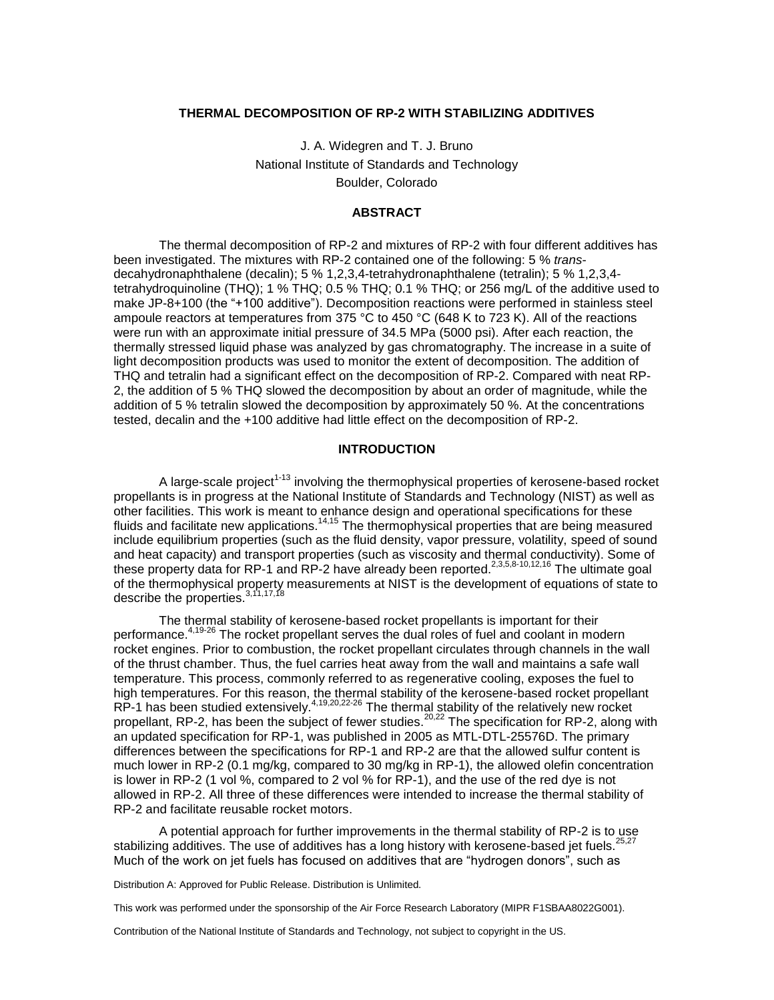### **THERMAL DECOMPOSITION OF RP-2 WITH STABILIZING ADDITIVES**

J. A. Widegren and T. J. Bruno National Institute of Standards and Technology Boulder, Colorado

#### **ABSTRACT**

The thermal decomposition of RP-2 and mixtures of RP-2 with four different additives has been investigated. The mixtures with RP-2 contained one of the following: 5 % *trans*decahydronaphthalene (decalin); 5 % 1,2,3,4-tetrahydronaphthalene (tetralin); 5 % 1,2,3,4 tetrahydroquinoline (THQ); 1 % THQ; 0.5 % THQ; 0.1 % THQ; or 256 mg/L of the additive used to make JP-8+100 (the "+100 additive"). Decomposition reactions were performed in stainless steel ampoule reactors at temperatures from 375 °C to 450 °C (648 K to 723 K). All of the reactions were run with an approximate initial pressure of 34.5 MPa (5000 psi). After each reaction, the thermally stressed liquid phase was analyzed by gas chromatography. The increase in a suite of light decomposition products was used to monitor the extent of decomposition. The addition of THQ and tetralin had a significant effect on the decomposition of RP-2. Compared with neat RP-2, the addition of 5 % THQ slowed the decomposition by about an order of magnitude, while the addition of 5 % tetralin slowed the decomposition by approximately 50 %. At the concentrations tested, decalin and the +100 additive had little effect on the decomposition of RP-2.

# **INTRODUCTION**

A large-scale project<sup>1-13</sup> involving the thermophysical properties of kerosene-based rocket propellants is in progress at the National Institute of Standards and Technology (NIST) as well as other facilities. This work is meant to enhance design and operational specifications for these fluids and facilitate new applications.<sup>14,15</sup> The thermophysical properties that are being measured include equilibrium properties (such as the fluid density, vapor pressure, volatility, speed of sound and heat capacity) and transport properties (such as viscosity and thermal conductivity). Some of these property data for RP-1 and RP-2 have already been reported.<sup>2,3,5,8-10,12,16</sup> The ultimate goal of the thermophysical property measurements at NIST is the development of equations of state to describe the properties.<sup>3,11,17,18</sup>

The thermal stability of kerosene-based rocket propellants is important for their performance.<sup>4,19-26</sup> The rocket propellant serves the dual roles of fuel and coolant in modern rocket engines. Prior to combustion, the rocket propellant circulates through channels in the wall of the thrust chamber. Thus, the fuel carries heat away from the wall and maintains a safe wall temperature. This process, commonly referred to as regenerative cooling, exposes the fuel to high temperatures. For this reason, the thermal stability of the kerosene-based rocket propellant  $RP-1$  has been studied extensively.<sup>4,19,20,22-26</sup> The thermal stability of the relatively new rocket propellant, RP-2, has been the subject of fewer studies.<sup>20,22</sup> The specification for RP-2, along with an updated specification for RP-1, was published in 2005 as MTL-DTL-25576D. The primary differences between the specifications for RP-1 and RP-2 are that the allowed sulfur content is much lower in RP-2 (0.1 mg/kg, compared to 30 mg/kg in RP-1), the allowed olefin concentration is lower in RP-2 (1 vol %, compared to 2 vol % for RP-1), and the use of the red dye is not allowed in RP-2. All three of these differences were intended to increase the thermal stability of RP-2 and facilitate reusable rocket motors.

A potential approach for further improvements in the thermal stability of RP-2 is to use stabilizing additives. The use of additives has a long history with kerosene-based jet fuels.<sup>25,27</sup> Much of the work on jet fuels has focused on additives that are "hydrogen donors", such as

Distribution A: Approved for Public Release. Distribution is Unlimited.

This work was performed under the sponsorship of the Air Force Research Laboratory (MIPR F1SBAA8022G001).

Contribution of the National Institute of Standards and Technology, not subject to copyright in the US.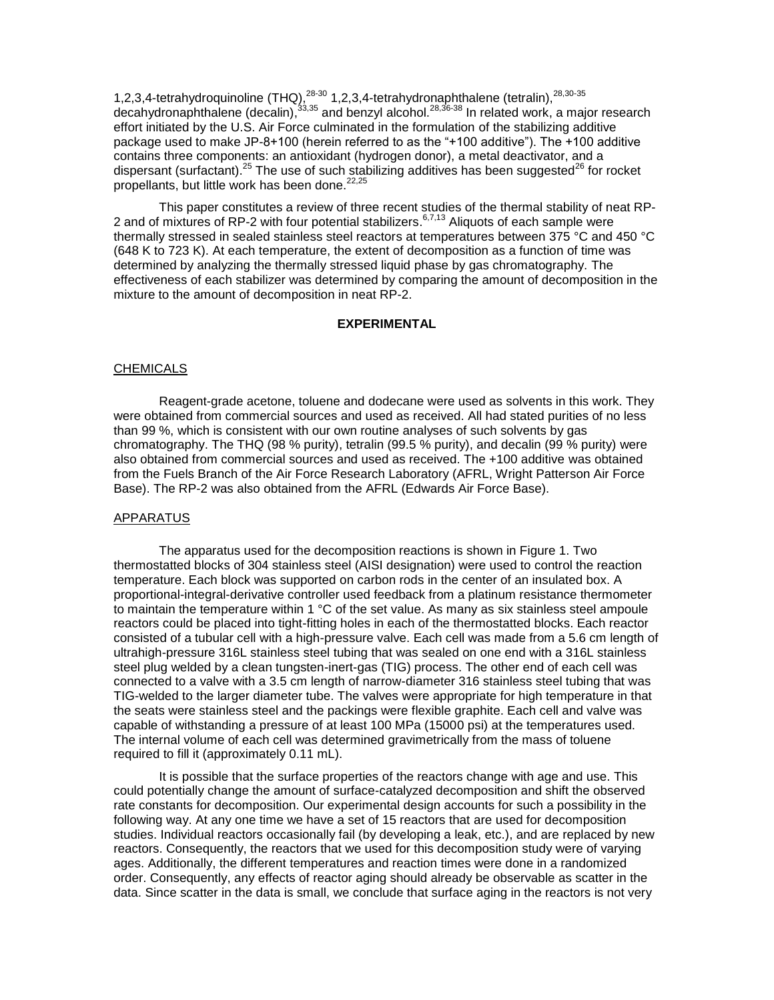1,2,3,4-tetrahydroquinoline (THQ), $^{28-30}$  1,2,3,4-tetrahydronaphthalene (tetralin), $^{28,30-35}$ decahydronaphthalene (decalin),<sup>33,35</sup> and benzyl alcohol.<sup>28,36-38</sup> In related work, a major research effort initiated by the U.S. Air Force culminated in the formulation of the stabilizing additive package used to make JP-8+100 (herein referred to as the "+100 additive"). The +100 additive contains three components: an antioxidant (hydrogen donor), a metal deactivator, and a dispersant (surfactant).<sup>25</sup> The use of such stabilizing additives has been suggested<sup>26</sup> for rocket propellants, but little work has been done. $22,25$ 

This paper constitutes a review of three recent studies of the thermal stability of neat RP-2 and of mixtures of RP-2 with four potential stabilizers.<sup>6,7,13</sup> Aliquots of each sample were thermally stressed in sealed stainless steel reactors at temperatures between 375 °C and 450 °C (648 K to 723 K). At each temperature, the extent of decomposition as a function of time was determined by analyzing the thermally stressed liquid phase by gas chromatography. The effectiveness of each stabilizer was determined by comparing the amount of decomposition in the mixture to the amount of decomposition in neat RP-2.

# **EXPERIMENTAL**

# **CHEMICALS**

Reagent-grade acetone, toluene and dodecane were used as solvents in this work. They were obtained from commercial sources and used as received. All had stated purities of no less than 99 %, which is consistent with our own routine analyses of such solvents by gas chromatography. The THQ (98 % purity), tetralin (99.5 % purity), and decalin (99 % purity) were also obtained from commercial sources and used as received. The +100 additive was obtained from the Fuels Branch of the Air Force Research Laboratory (AFRL, Wright Patterson Air Force Base). The RP-2 was also obtained from the AFRL (Edwards Air Force Base).

#### APPARATUS

The apparatus used for the decomposition reactions is shown in Figure 1. Two thermostatted blocks of 304 stainless steel (AISI designation) were used to control the reaction temperature. Each block was supported on carbon rods in the center of an insulated box. A proportional-integral-derivative controller used feedback from a platinum resistance thermometer to maintain the temperature within 1  $\degree$ C of the set value. As many as six stainless steel ampoule reactors could be placed into tight-fitting holes in each of the thermostatted blocks. Each reactor consisted of a tubular cell with a high-pressure valve. Each cell was made from a 5.6 cm length of ultrahigh-pressure 316L stainless steel tubing that was sealed on one end with a 316L stainless steel plug welded by a clean tungsten-inert-gas (TIG) process. The other end of each cell was connected to a valve with a 3.5 cm length of narrow-diameter 316 stainless steel tubing that was TIG-welded to the larger diameter tube. The valves were appropriate for high temperature in that the seats were stainless steel and the packings were flexible graphite. Each cell and valve was capable of withstanding a pressure of at least 100 MPa (15000 psi) at the temperatures used. The internal volume of each cell was determined gravimetrically from the mass of toluene required to fill it (approximately 0.11 mL).

It is possible that the surface properties of the reactors change with age and use. This could potentially change the amount of surface-catalyzed decomposition and shift the observed rate constants for decomposition. Our experimental design accounts for such a possibility in the following way. At any one time we have a set of 15 reactors that are used for decomposition studies. Individual reactors occasionally fail (by developing a leak, etc.), and are replaced by new reactors. Consequently, the reactors that we used for this decomposition study were of varying ages. Additionally, the different temperatures and reaction times were done in a randomized order. Consequently, any effects of reactor aging should already be observable as scatter in the data. Since scatter in the data is small, we conclude that surface aging in the reactors is not very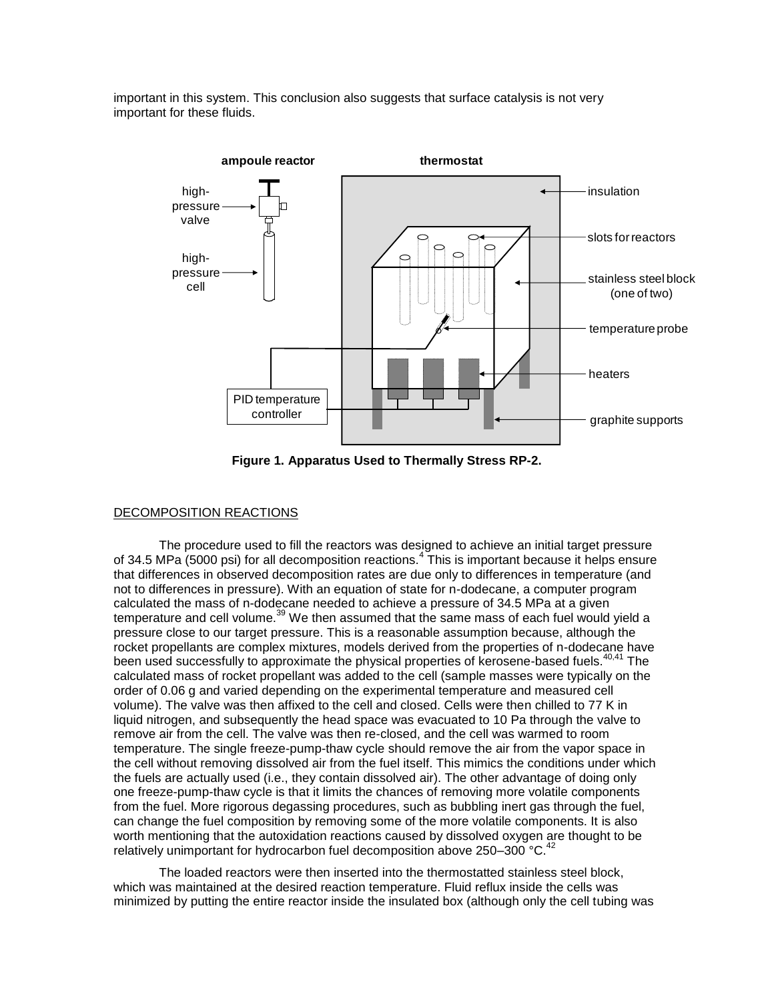important in this system. This conclusion also suggests that surface catalysis is not very important for these fluids.



**Figure 1. Apparatus Used to Thermally Stress RP-2.**

# DECOMPOSITION REACTIONS

The procedure used to fill the reactors was designed to achieve an initial target pressure of 34.5 MPa (5000 psi) for all decomposition reactions.<sup>4</sup> This is important because it helps ensure that differences in observed decomposition rates are due only to differences in temperature (and not to differences in pressure). With an equation of state for n-dodecane, a computer program calculated the mass of n-dodecane needed to achieve a pressure of 34.5 MPa at a given temperature and cell volume.<sup>39</sup> We then assumed that the same mass of each fuel would yield a pressure close to our target pressure. This is a reasonable assumption because, although the rocket propellants are complex mixtures, models derived from the properties of n-dodecane have been used successfully to approximate the physical properties of kerosene-based fuels.<sup>40,41</sup> The calculated mass of rocket propellant was added to the cell (sample masses were typically on the order of 0.06 g and varied depending on the experimental temperature and measured cell volume). The valve was then affixed to the cell and closed. Cells were then chilled to 77 K in liquid nitrogen, and subsequently the head space was evacuated to 10 Pa through the valve to remove air from the cell. The valve was then re-closed, and the cell was warmed to room temperature. The single freeze-pump-thaw cycle should remove the air from the vapor space in the cell without removing dissolved air from the fuel itself. This mimics the conditions under which the fuels are actually used (i.e., they contain dissolved air). The other advantage of doing only one freeze-pump-thaw cycle is that it limits the chances of removing more volatile components from the fuel. More rigorous degassing procedures, such as bubbling inert gas through the fuel, can change the fuel composition by removing some of the more volatile components. It is also worth mentioning that the autoxidation reactions caused by dissolved oxygen are thought to be relatively unimportant for hydrocarbon fuel decomposition above 250–300  $\mathrm{°C}$ .<sup>42</sup>

The loaded reactors were then inserted into the thermostatted stainless steel block, which was maintained at the desired reaction temperature. Fluid reflux inside the cells was minimized by putting the entire reactor inside the insulated box (although only the cell tubing was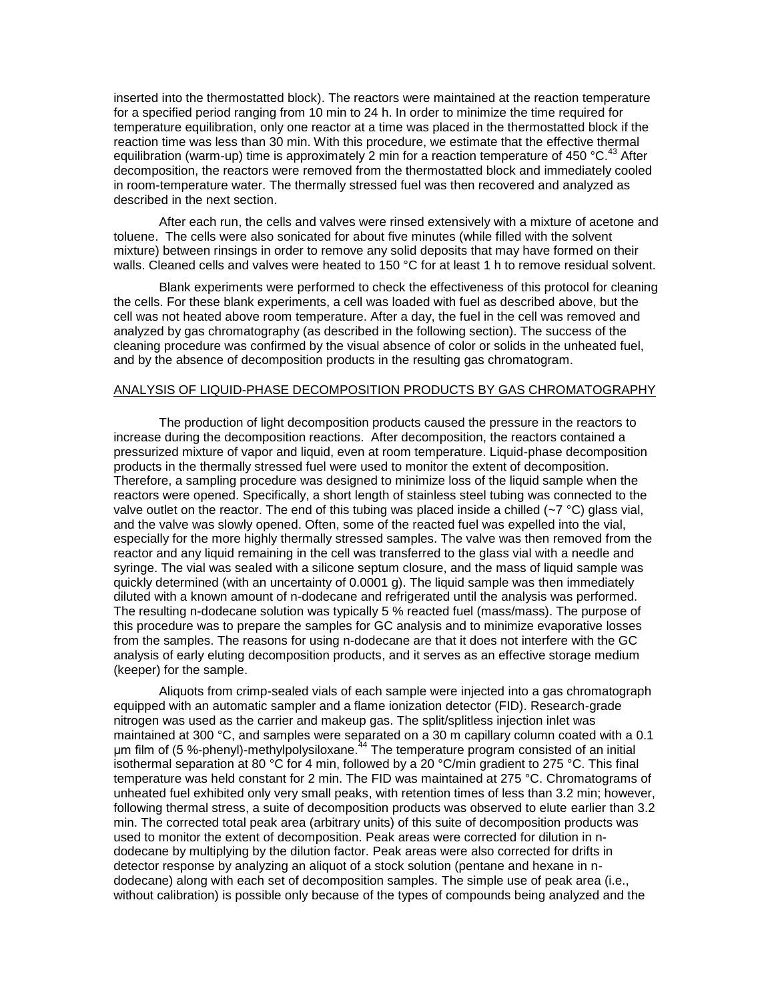inserted into the thermostatted block). The reactors were maintained at the reaction temperature for a specified period ranging from 10 min to 24 h. In order to minimize the time required for temperature equilibration, only one reactor at a time was placed in the thermostatted block if the reaction time was less than 30 min. With this procedure, we estimate that the effective thermal equilibration (warm-up) time is approximately 2 min for a reaction temperature of 450  $^{\circ}$ C.<sup>43</sup> After decomposition, the reactors were removed from the thermostatted block and immediately cooled in room-temperature water. The thermally stressed fuel was then recovered and analyzed as described in the next section.

After each run, the cells and valves were rinsed extensively with a mixture of acetone and toluene. The cells were also sonicated for about five minutes (while filled with the solvent mixture) between rinsings in order to remove any solid deposits that may have formed on their walls. Cleaned cells and valves were heated to 150 °C for at least 1 h to remove residual solvent.

Blank experiments were performed to check the effectiveness of this protocol for cleaning the cells. For these blank experiments, a cell was loaded with fuel as described above, but the cell was not heated above room temperature. After a day, the fuel in the cell was removed and analyzed by gas chromatography (as described in the following section). The success of the cleaning procedure was confirmed by the visual absence of color or solids in the unheated fuel, and by the absence of decomposition products in the resulting gas chromatogram.

# ANALYSIS OF LIQUID-PHASE DECOMPOSITION PRODUCTS BY GAS CHROMATOGRAPHY

The production of light decomposition products caused the pressure in the reactors to increase during the decomposition reactions. After decomposition, the reactors contained a pressurized mixture of vapor and liquid, even at room temperature. Liquid-phase decomposition products in the thermally stressed fuel were used to monitor the extent of decomposition. Therefore, a sampling procedure was designed to minimize loss of the liquid sample when the reactors were opened. Specifically, a short length of stainless steel tubing was connected to the valve outlet on the reactor. The end of this tubing was placed inside a chilled  $\sim$   $\degree$ C) glass vial, and the valve was slowly opened. Often, some of the reacted fuel was expelled into the vial, especially for the more highly thermally stressed samples. The valve was then removed from the reactor and any liquid remaining in the cell was transferred to the glass vial with a needle and syringe. The vial was sealed with a silicone septum closure, and the mass of liquid sample was quickly determined (with an uncertainty of 0.0001 g). The liquid sample was then immediately diluted with a known amount of n-dodecane and refrigerated until the analysis was performed. The resulting n-dodecane solution was typically 5 % reacted fuel (mass/mass). The purpose of this procedure was to prepare the samples for GC analysis and to minimize evaporative losses from the samples. The reasons for using n-dodecane are that it does not interfere with the GC analysis of early eluting decomposition products, and it serves as an effective storage medium (keeper) for the sample.

Aliquots from crimp-sealed vials of each sample were injected into a gas chromatograph equipped with an automatic sampler and a flame ionization detector (FID). Research-grade nitrogen was used as the carrier and makeup gas. The split/splitless injection inlet was maintained at 300 °C, and samples were separated on a 30 m capillary column coated with a 0.1  $\mu$ m film of (5 %-phenyl)-methylpolysiloxane.<sup>44</sup> The temperature program consisted of an initial isothermal separation at 80 °C for 4 min, followed by a 20 °C/min gradient to 275 °C. This final temperature was held constant for 2 min. The FID was maintained at 275 °C. Chromatograms of unheated fuel exhibited only very small peaks, with retention times of less than 3.2 min; however, following thermal stress, a suite of decomposition products was observed to elute earlier than 3.2 min. The corrected total peak area (arbitrary units) of this suite of decomposition products was used to monitor the extent of decomposition. Peak areas were corrected for dilution in ndodecane by multiplying by the dilution factor. Peak areas were also corrected for drifts in detector response by analyzing an aliquot of a stock solution (pentane and hexane in ndodecane) along with each set of decomposition samples. The simple use of peak area (i.e., without calibration) is possible only because of the types of compounds being analyzed and the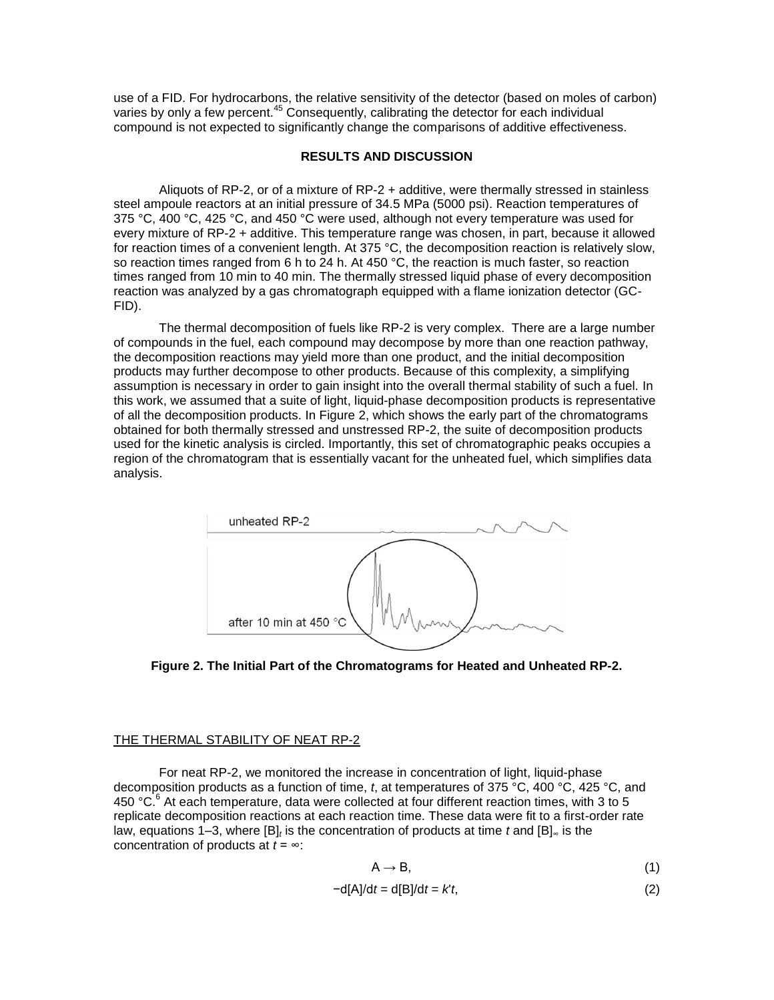use of a FID. For hydrocarbons, the relative sensitivity of the detector (based on moles of carbon) varies by only a few percent.<sup>45</sup> Consequently, calibrating the detector for each individual compound is not expected to significantly change the comparisons of additive effectiveness.

# **RESULTS AND DISCUSSION**

Aliquots of RP-2, or of a mixture of RP-2 + additive, were thermally stressed in stainless steel ampoule reactors at an initial pressure of 34.5 MPa (5000 psi). Reaction temperatures of 375 °C, 400 °C, 425 °C, and 450 °C were used, although not every temperature was used for every mixture of RP-2 + additive. This temperature range was chosen, in part, because it allowed for reaction times of a convenient length. At 375 °C, the decomposition reaction is relatively slow, so reaction times ranged from 6 h to 24 h. At 450  $^{\circ}$ C, the reaction is much faster, so reaction times ranged from 10 min to 40 min. The thermally stressed liquid phase of every decomposition reaction was analyzed by a gas chromatograph equipped with a flame ionization detector (GC-FID).

The thermal decomposition of fuels like RP-2 is very complex. There are a large number of compounds in the fuel, each compound may decompose by more than one reaction pathway, the decomposition reactions may yield more than one product, and the initial decomposition products may further decompose to other products. Because of this complexity, a simplifying assumption is necessary in order to gain insight into the overall thermal stability of such a fuel. In this work, we assumed that a suite of light, liquid-phase decomposition products is representative of all the decomposition products. In Figure 2, which shows the early part of the chromatograms obtained for both thermally stressed and unstressed RP-2, the suite of decomposition products used for the kinetic analysis is circled. Importantly, this set of chromatographic peaks occupies a region of the chromatogram that is essentially vacant for the unheated fuel, which simplifies data analysis.



**Figure 2. The Initial Part of the Chromatograms for Heated and Unheated RP-2.**

#### THE THERMAL STABILITY OF NEAT RP-2

For neat RP-2, we monitored the increase in concentration of light, liquid-phase decomposition products as a function of time, *t*, at temperatures of 375 °C, 400 °C, 425 °C, and 450 °C.<sup>6</sup> At each temperature, data were collected at four different reaction times, with 3 to 5 replicate decomposition reactions at each reaction time. These data were fit to a first-order rate law, equations 1–3, where [B]<sub>*t*</sub> is the concentration of products at time *t* and [B]<sub>∞</sub> is the concentration of products at *t* = ∞:

$$
A \rightarrow B, \tag{1}
$$

$$
-d[A]/dt = d[B]/dt = kt,
$$
\n(2)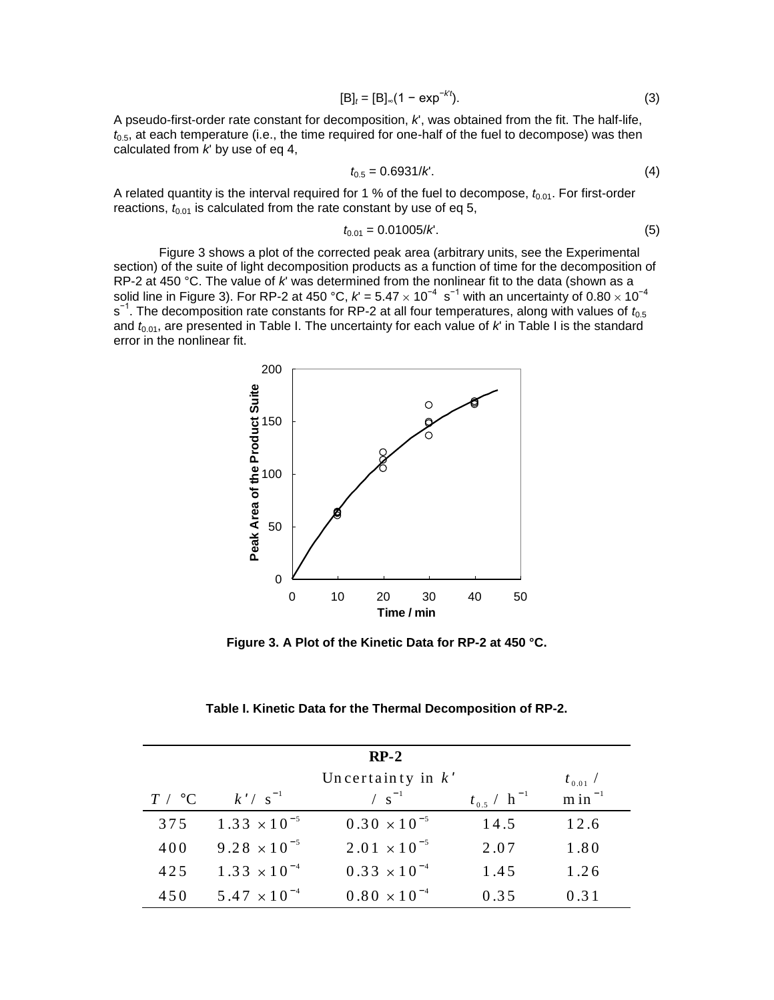$$
[B]_t = [B]_{\infty} (1 - \exp^{-kt}).
$$
\n(3)

A pseudo-first-order rate constant for decomposition, *k*', was obtained from the fit. The half-life,  $t_{0.5}$ , at each temperature (i.e., the time required for one-half of the fuel to decompose) was then calculated from *k*' by use of eq 4,

$$
t_{0.5} = 0.6931/K.
$$
 (4)

A related quantity is the interval required for 1 % of the fuel to decompose,  $t_{0.01}$ . For first-order reactions,  $t_{0.01}$  is calculated from the rate constant by use of eq 5,

$$
t_{0.01} = 0.01005 / K. \tag{5}
$$

Figure 3 shows a plot of the corrected peak area (arbitrary units, see the Experimental section) of the suite of light decomposition products as a function of time for the decomposition of RP-2 at 450 °C. The value of *k*' was determined from the nonlinear fit to the data (shown as a solid line in Figure 3). For RP-2 at 450 °C,  $k'$  = 5.47  $\times$  10<sup>−4</sup> s<sup>−1</sup> with an uncertainty of 0.80  $\times$  10<sup>−4</sup> s<sup>-1</sup>. The decomposition rate constants for RP-2 at all four temperatures, along with values of  $t_{0.5}$ and  $t_{0.01}$ , are presented in Table I. The uncertainty for each value of *k*' in Table I is the standard error in the nonlinear fit.



**Figure 3. A Plot of the Kinetic Data for RP-2 at 450 °C.** 

**Table I. Kinetic Data for the Thermal Decomposition of RP-2.**

| $RP-2$ |                       |                                    |                             |              |  |
|--------|-----------------------|------------------------------------|-----------------------------|--------------|--|
|        |                       | Uncertainty in $k'$                |                             | $t_{0.01}$ / |  |
| T / °C | $k'/s^{-1}$           | $\left/ \ \mathrm{s}^{-1} \right.$ | $t_{0.5}$ / h <sup>-1</sup> | $\sin^{-1}$  |  |
| 375    | $1.33 \times 10^{-5}$ | $0.30 \times 10^{-5}$              | 14.5                        | 12.6         |  |
| 400    | $9.28 \times 10^{-5}$ | $2.01 \times 10^{-5}$              | 2.07                        | 1.80         |  |
| 425    | $1.33 \times 10^{-4}$ | $0.33 \times 10^{-4}$              | 1.45                        | 1.26         |  |
| 450    | $5.47 \times 10^{-4}$ | $0.80 \times 10^{-4}$              | 0.35                        | 0.31         |  |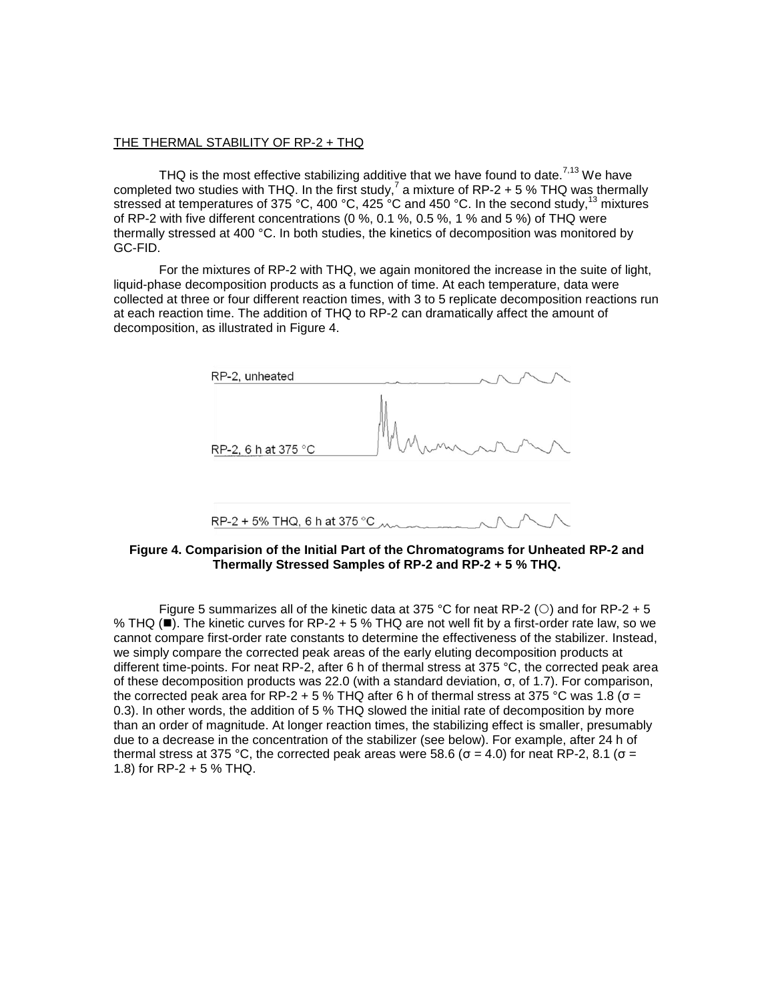# THE THERMAL STABILITY OF RP-2 + THQ

THQ is the most effective stabilizing additive that we have found to date.<sup>7,13</sup> We have completed two studies with THQ. In the first study,<sup>7</sup> a mixture of RP-2 + 5 % THQ was thermally stressed at temperatures of 375 °C, 400 °C, 425 °C and 450 °C. In the second study,  $^{13}$  mixtures of RP-2 with five different concentrations (0 %, 0.1 %, 0.5 %, 1 % and 5 %) of THQ were thermally stressed at 400 °C. In both studies, the kinetics of decomposition was monitored by GC-FID.

For the mixtures of RP-2 with THQ, we again monitored the increase in the suite of light, liquid-phase decomposition products as a function of time. At each temperature, data were collected at three or four different reaction times, with 3 to 5 replicate decomposition reactions run at each reaction time. The addition of THQ to RP-2 can dramatically affect the amount of decomposition, as illustrated in Figure 4.

| RP-2, unheated                      |        |
|-------------------------------------|--------|
| RP-2, 6 h at 375 °C                 | MARAAN |
| RP-2 + 5% THQ, 6 h at 375 °C $\sim$ |        |

**Figure 4. Comparision of the Initial Part of the Chromatograms for Unheated RP-2 and Thermally Stressed Samples of RP-2 and RP-2 + 5 % THQ.**

Figure 5 summarizes all of the kinetic data at 375 °C for neat RP-2 ( $\circ$ ) and for RP-2 + 5 % THQ ( $\blacksquare$ ). The kinetic curves for RP-2 + 5 % THQ are not well fit by a first-order rate law, so we cannot compare first-order rate constants to determine the effectiveness of the stabilizer. Instead, we simply compare the corrected peak areas of the early eluting decomposition products at different time-points. For neat RP-2, after 6 h of thermal stress at 375 °C, the corrected peak area of these decomposition products was 22.0 (with a standard deviation, σ, of 1.7). For comparison, the corrected peak area for RP-2 + 5 % THQ after 6 h of thermal stress at 375 °C was 1.8 ( $\sigma$  = 0.3). In other words, the addition of 5 % THQ slowed the initial rate of decomposition by more than an order of magnitude. At longer reaction times, the stabilizing effect is smaller, presumably due to a decrease in the concentration of the stabilizer (see below). For example, after 24 h of thermal stress at 375 °C, the corrected peak areas were 58.6 ( $\sigma$  = 4.0) for neat RP-2, 8.1 ( $\sigma$  = 1.8) for RP-2 + 5 % THQ.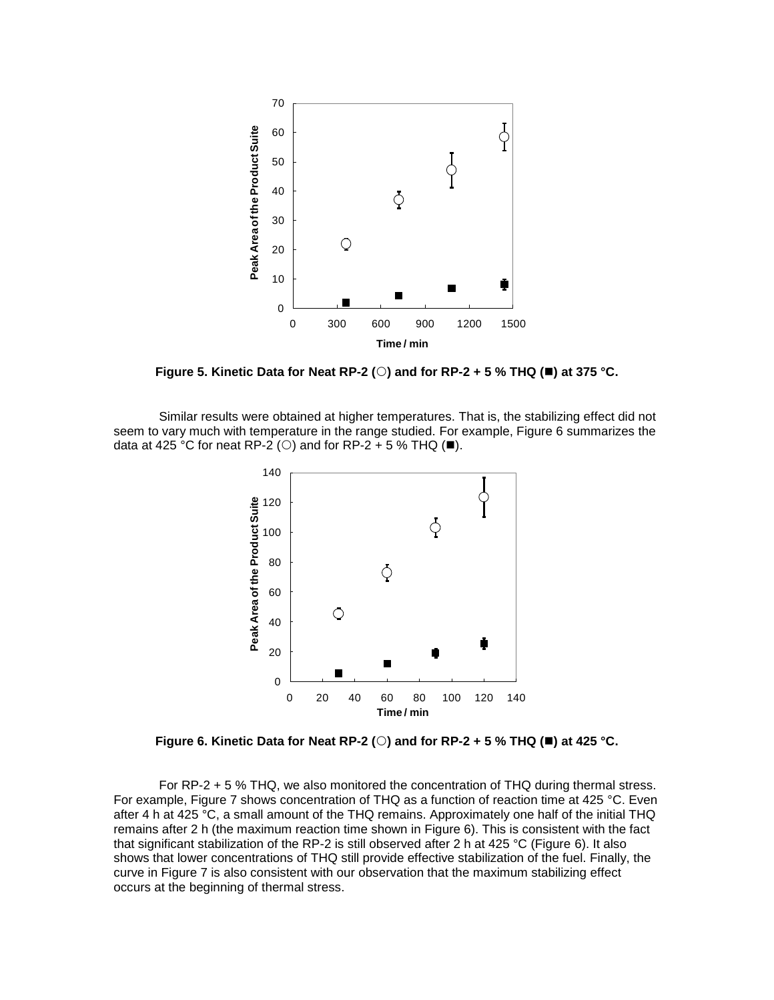

**Figure 5. Kinetic Data for Neat RP-2 (O) and for RP-2 + 5 % THQ (** $\blacksquare$ **) at 375 °C.** 

Similar results were obtained at higher temperatures. That is, the stabilizing effect did not seem to vary much with temperature in the range studied. For example, Figure 6 summarizes the data at 425 °C for neat RP-2 (O) and for RP-2 + 5 % THQ ( $\blacksquare$ ).



**Figure 6. Kinetic Data for Neat RP-2 (O) and for RP-2 + 5 % THQ (** $\blacksquare$ **) at 425 °C.** 

For RP-2 + 5 % THQ, we also monitored the concentration of THQ during thermal stress. For example, Figure 7 shows concentration of THQ as a function of reaction time at 425 °C. Even after 4 h at 425 °C, a small amount of the THQ remains. Approximately one half of the initial THQ remains after 2 h (the maximum reaction time shown in Figure 6). This is consistent with the fact that significant stabilization of the RP-2 is still observed after 2 h at 425 °C (Figure 6). It also shows that lower concentrations of THQ still provide effective stabilization of the fuel. Finally, the curve in Figure 7 is also consistent with our observation that the maximum stabilizing effect occurs at the beginning of thermal stress.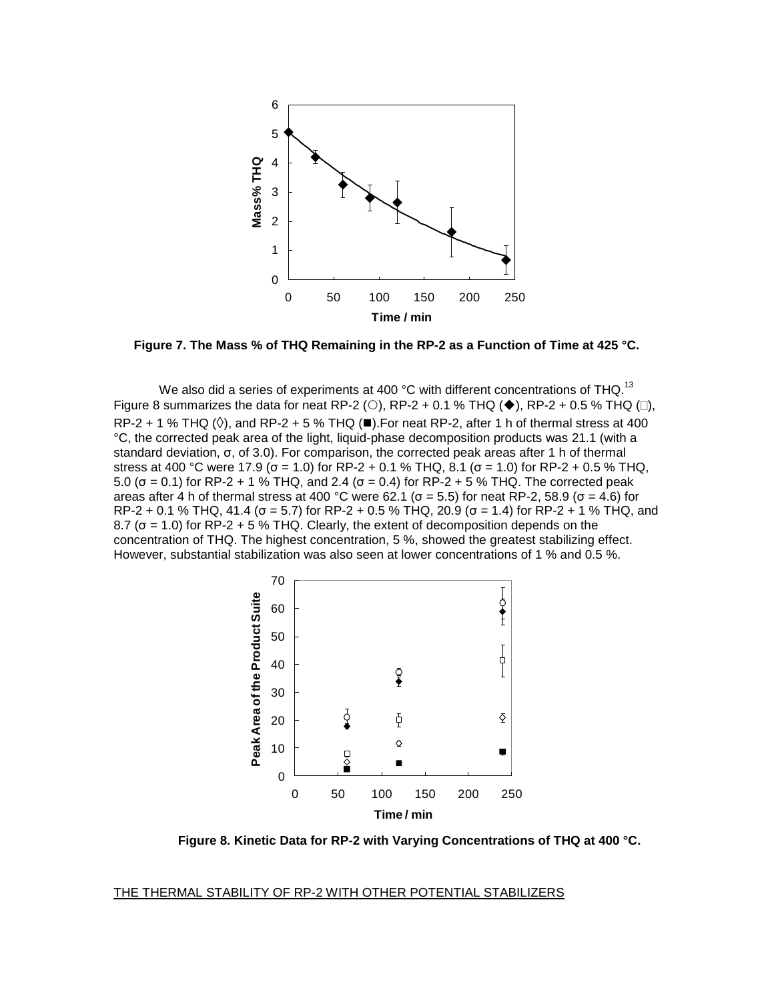

**Figure 7. The Mass % of THQ Remaining in the RP-2 as a Function of Time at 425 °C.** 

We also did a series of experiments at 400 °C with different concentrations of THQ.<sup>13</sup> Figure 8 summarizes the data for neat RP-2 (O), RP-2 + 0.1 % THQ ( $\blacklozenge$ ), RP-2 + 0.5 % THQ ( $\Box$ ), RP-2 + 1 % THQ ( $\Diamond$ ), and RP-2 + 5 % THQ ( $\blacksquare$ ). For neat RP-2, after 1 h of thermal stress at 400 °C, the corrected peak area of the light, liquid-phase decomposition products was 21.1 (with a standard deviation, σ, of 3.0). For comparison, the corrected peak areas after 1 h of thermal stress at 400 °C were 17.9 ( $\sigma$  = 1.0) for RP-2 + 0.1 % THQ, 8.1 ( $\sigma$  = 1.0) for RP-2 + 0.5 % THQ, 5.0 (σ = 0.1) for RP-2 + 1 % THQ, and 2.4 (σ = 0.4) for RP-2 + 5 % THQ. The corrected peak areas after 4 h of thermal stress at 400 °C were 62.1 ( $\sigma$  = 5.5) for neat RP-2, 58.9 ( $\sigma$  = 4.6) for RP-2 + 0.1 % THQ, 41.4 ( $\sigma$  = 5.7) for RP-2 + 0.5 % THQ, 20.9 ( $\sigma$  = 1.4) for RP-2 + 1 % THQ, and 8.7 ( $\sigma$  = 1.0) for RP-2 + 5 % THQ. Clearly, the extent of decomposition depends on the concentration of THQ. The highest concentration, 5 %, showed the greatest stabilizing effect. However, substantial stabilization was also seen at lower concentrations of 1 % and 0.5 %.



**Figure 8. Kinetic Data for RP-2 with Varying Concentrations of THQ at 400 °C.**

#### THE THERMAL STABILITY OF RP-2 WITH OTHER POTENTIAL STABILIZERS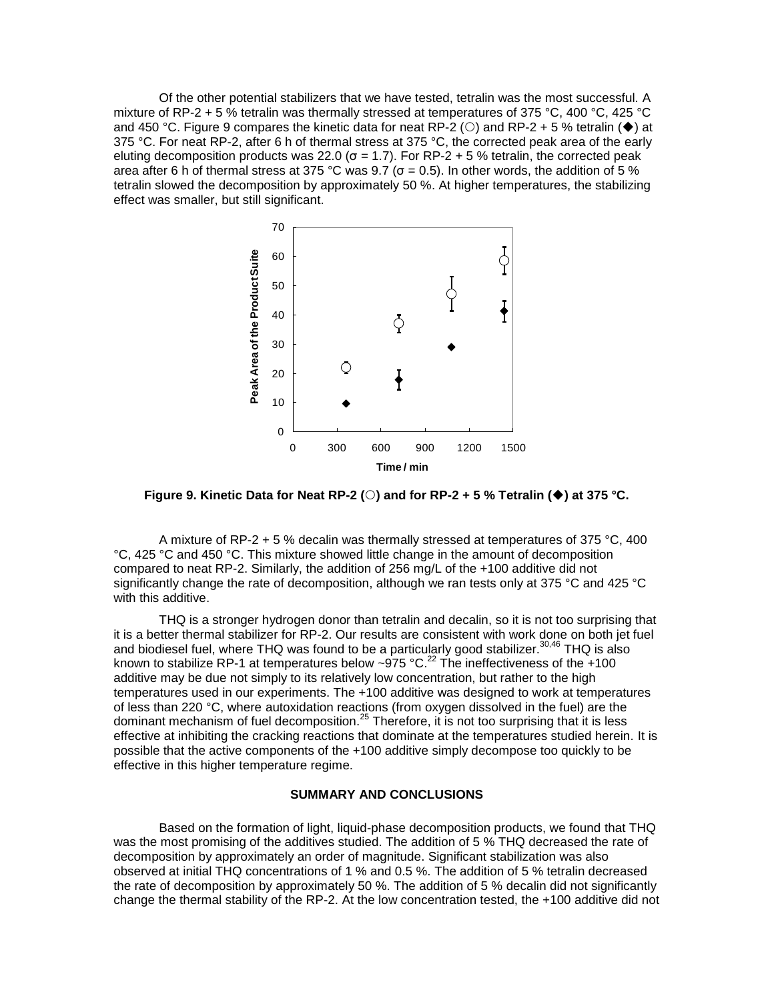Of the other potential stabilizers that we have tested, tetralin was the most successful. A mixture of RP-2 + 5 % tetralin was thermally stressed at temperatures of 375 °C, 400 °C, 425 °C and 450 °C. Figure 9 compares the kinetic data for neat RP-2 ( $\circ$ ) and RP-2 + 5 % tetralin ( $\blacklozenge$ ) at 375 °C. For neat RP-2, after 6 h of thermal stress at 375 °C, the corrected peak area of the early eluting decomposition products was 22.0 ( $\sigma$  = 1.7). For RP-2 + 5 % tetralin, the corrected peak area after 6 h of thermal stress at 375 °C was 9.7 ( $\sigma$  = 0.5). In other words, the addition of 5 % tetralin slowed the decomposition by approximately 50 %. At higher temperatures, the stabilizing effect was smaller, but still significant.



**Figure 9. Kinetic Data for Neat RP-2 (** $\circ$ **) and for RP-2 + 5 % Tetralin (** $\bullet$ **) at 375 °C.** 

A mixture of RP-2 + 5 % decalin was thermally stressed at temperatures of 375 °C, 400 °C, 425 °C and 450 °C. This mixture showed little change in the amount of decomposition compared to neat RP-2. Similarly, the addition of 256 mg/L of the +100 additive did not significantly change the rate of decomposition, although we ran tests only at 375 °C and 425 °C with this additive.

THQ is a stronger hydrogen donor than tetralin and decalin, so it is not too surprising that it is a better thermal stabilizer for RP-2. Our results are consistent with work done on both jet fuel and biodiesel fuel, where THQ was found to be a particularly good stabilizer.<sup>30,46</sup> THQ is also known to stabilize RP-1 at temperatures below ~975 °C.<sup>22</sup> The ineffectiveness of the +100 additive may be due not simply to its relatively low concentration, but rather to the high temperatures used in our experiments. The +100 additive was designed to work at temperatures of less than 220 °C, where autoxidation reactions (from oxygen dissolved in the fuel) are the dominant mechanism of fuel decomposition.<sup>25</sup> Therefore, it is not too surprising that it is less effective at inhibiting the cracking reactions that dominate at the temperatures studied herein. It is possible that the active components of the +100 additive simply decompose too quickly to be effective in this higher temperature regime.

### **SUMMARY AND CONCLUSIONS**

Based on the formation of light, liquid-phase decomposition products, we found that THQ was the most promising of the additives studied. The addition of 5 % THQ decreased the rate of decomposition by approximately an order of magnitude. Significant stabilization was also observed at initial THQ concentrations of 1 % and 0.5 %. The addition of 5 % tetralin decreased the rate of decomposition by approximately 50 %. The addition of 5 % decalin did not significantly change the thermal stability of the RP-2. At the low concentration tested, the +100 additive did not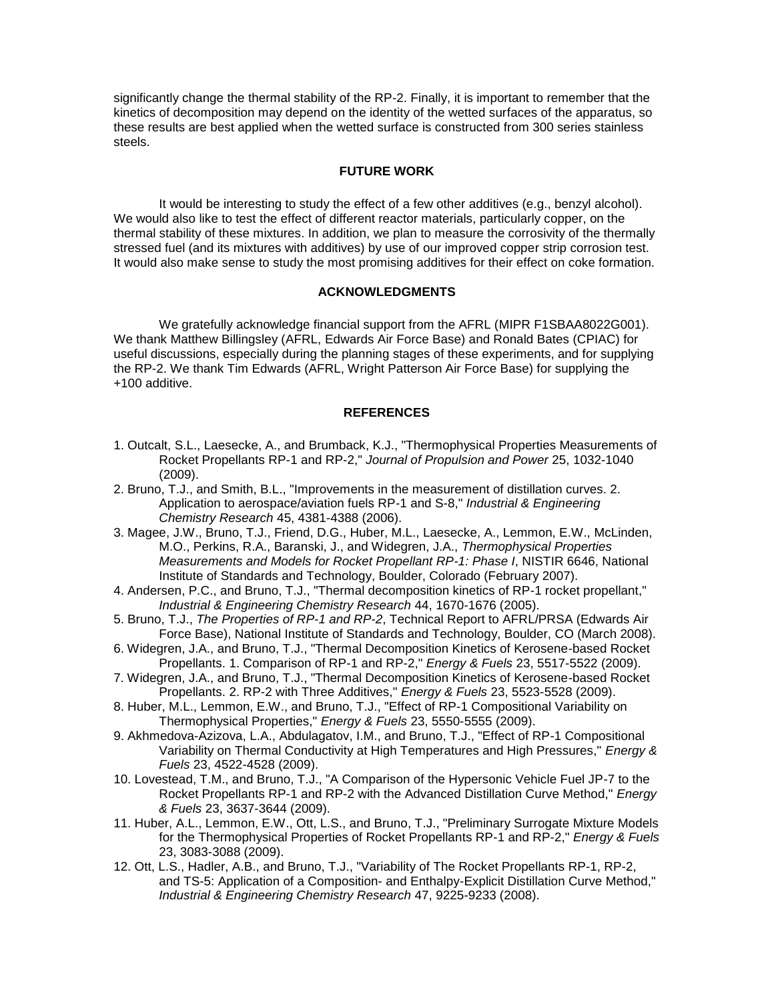significantly change the thermal stability of the RP-2. Finally, it is important to remember that the kinetics of decomposition may depend on the identity of the wetted surfaces of the apparatus, so these results are best applied when the wetted surface is constructed from 300 series stainless steels.

### **FUTURE WORK**

It would be interesting to study the effect of a few other additives (e.g., benzyl alcohol). We would also like to test the effect of different reactor materials, particularly copper, on the thermal stability of these mixtures. In addition, we plan to measure the corrosivity of the thermally stressed fuel (and its mixtures with additives) by use of our improved copper strip corrosion test. It would also make sense to study the most promising additives for their effect on coke formation.

# **ACKNOWLEDGMENTS**

We gratefully acknowledge financial support from the AFRL (MIPR F1SBAA8022G001). We thank Matthew Billingsley (AFRL, Edwards Air Force Base) and Ronald Bates (CPIAC) for useful discussions, especially during the planning stages of these experiments, and for supplying the RP-2. We thank Tim Edwards (AFRL, Wright Patterson Air Force Base) for supplying the +100 additive.

#### **REFERENCES**

- 1. Outcalt, S.L., Laesecke, A., and Brumback, K.J., "Thermophysical Properties Measurements of Rocket Propellants RP-1 and RP-2," *Journal of Propulsion and Power* 25, 1032-1040 (2009).
- 2. Bruno, T.J., and Smith, B.L., "Improvements in the measurement of distillation curves. 2. Application to aerospace/aviation fuels RP-1 and S-8," *Industrial & Engineering Chemistry Research* 45, 4381-4388 (2006).
- 3. Magee, J.W., Bruno, T.J., Friend, D.G., Huber, M.L., Laesecke, A., Lemmon, E.W., McLinden, M.O., Perkins, R.A., Baranski, J., and Widegren, J.A., *Thermophysical Properties Measurements and Models for Rocket Propellant RP-1: Phase I*, NISTIR 6646, National Institute of Standards and Technology, Boulder, Colorado (February 2007).
- 4. Andersen, P.C., and Bruno, T.J., "Thermal decomposition kinetics of RP-1 rocket propellant," *Industrial & Engineering Chemistry Research* 44, 1670-1676 (2005).
- 5. Bruno, T.J., *The Properties of RP-1 and RP-2*, Technical Report to AFRL/PRSA (Edwards Air Force Base), National Institute of Standards and Technology, Boulder, CO (March 2008).
- 6. Widegren, J.A., and Bruno, T.J., "Thermal Decomposition Kinetics of Kerosene-based Rocket Propellants. 1. Comparison of RP-1 and RP-2," *Energy & Fuels* 23, 5517-5522 (2009).
- 7. Widegren, J.A., and Bruno, T.J., "Thermal Decomposition Kinetics of Kerosene-based Rocket Propellants. 2. RP-2 with Three Additives," *Energy & Fuels* 23, 5523-5528 (2009).
- 8. Huber, M.L., Lemmon, E.W., and Bruno, T.J., "Effect of RP-1 Compositional Variability on Thermophysical Properties," *Energy & Fuels* 23, 5550-5555 (2009).
- 9. Akhmedova-Azizova, L.A., Abdulagatov, I.M., and Bruno, T.J., "Effect of RP-1 Compositional Variability on Thermal Conductivity at High Temperatures and High Pressures," *Energy & Fuels* 23, 4522-4528 (2009).
- 10. Lovestead, T.M., and Bruno, T.J., "A Comparison of the Hypersonic Vehicle Fuel JP-7 to the Rocket Propellants RP-1 and RP-2 with the Advanced Distillation Curve Method," *Energy & Fuels* 23, 3637-3644 (2009).
- 11. Huber, A.L., Lemmon, E.W., Ott, L.S., and Bruno, T.J., "Preliminary Surrogate Mixture Models for the Thermophysical Properties of Rocket Propellants RP-1 and RP-2," *Energy & Fuels* 23, 3083-3088 (2009).
- 12. Ott, L.S., Hadler, A.B., and Bruno, T.J., "Variability of The Rocket Propellants RP-1, RP-2, and TS-5: Application of a Composition- and Enthalpy-Explicit Distillation Curve Method," *Industrial & Engineering Chemistry Research* 47, 9225-9233 (2008).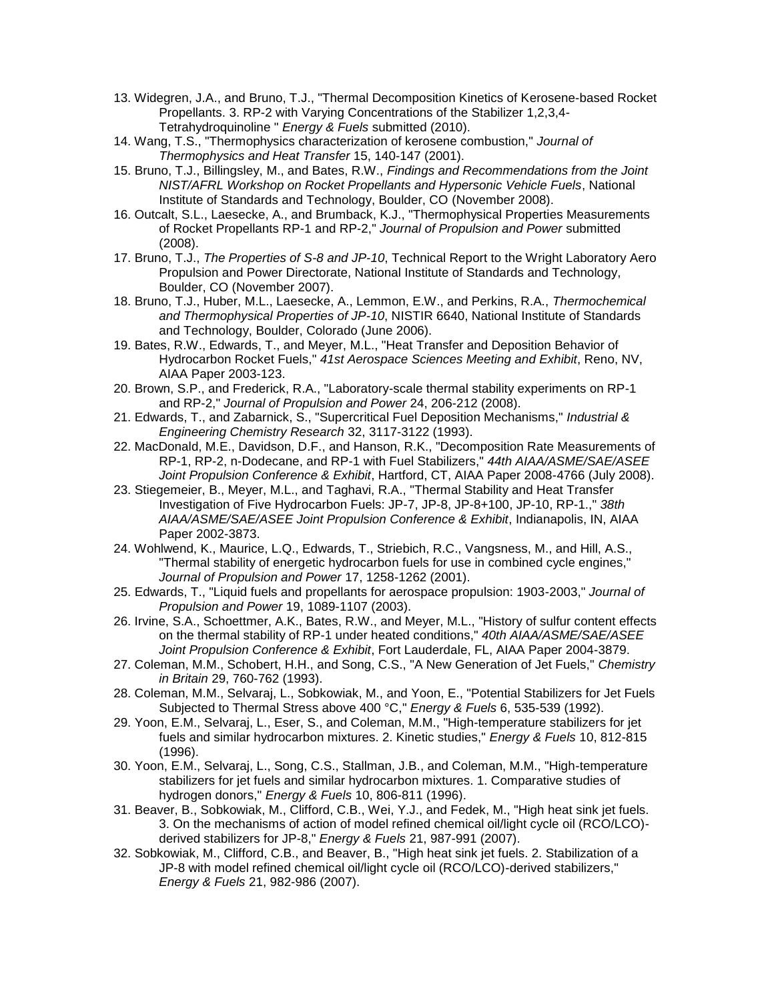- 13. Widegren, J.A., and Bruno, T.J., "Thermal Decomposition Kinetics of Kerosene-based Rocket Propellants. 3. RP-2 with Varying Concentrations of the Stabilizer 1,2,3,4- Tetrahydroquinoline " *Energy & Fuels* submitted (2010).
- 14. Wang, T.S., "Thermophysics characterization of kerosene combustion," *Journal of Thermophysics and Heat Transfer* 15, 140-147 (2001).
- 15. Bruno, T.J., Billingsley, M., and Bates, R.W., *Findings and Recommendations from the Joint NIST/AFRL Workshop on Rocket Propellants and Hypersonic Vehicle Fuels*, National Institute of Standards and Technology, Boulder, CO (November 2008).
- 16. Outcalt, S.L., Laesecke, A., and Brumback, K.J., "Thermophysical Properties Measurements of Rocket Propellants RP-1 and RP-2," *Journal of Propulsion and Power* submitted (2008).
- 17. Bruno, T.J., *The Properties of S-8 and JP-10*, Technical Report to the Wright Laboratory Aero Propulsion and Power Directorate, National Institute of Standards and Technology, Boulder, CO (November 2007).
- 18. Bruno, T.J., Huber, M.L., Laesecke, A., Lemmon, E.W., and Perkins, R.A., *Thermochemical and Thermophysical Properties of JP-10*, NISTIR 6640, National Institute of Standards and Technology, Boulder, Colorado (June 2006).
- 19. Bates, R.W., Edwards, T., and Meyer, M.L., "Heat Transfer and Deposition Behavior of Hydrocarbon Rocket Fuels," *41st Aerospace Sciences Meeting and Exhibit*, Reno, NV, AIAA Paper 2003-123.
- 20. Brown, S.P., and Frederick, R.A., "Laboratory-scale thermal stability experiments on RP-1 and RP-2," *Journal of Propulsion and Power* 24, 206-212 (2008).
- 21. Edwards, T., and Zabarnick, S., "Supercritical Fuel Deposition Mechanisms," *Industrial & Engineering Chemistry Research* 32, 3117-3122 (1993).
- 22. MacDonald, M.E., Davidson, D.F., and Hanson, R.K., "Decomposition Rate Measurements of RP-1, RP-2, n-Dodecane, and RP-1 with Fuel Stabilizers," *44th AIAA/ASME/SAE/ASEE Joint Propulsion Conference & Exhibit*, Hartford, CT, AIAA Paper 2008-4766 (July 2008).
- 23. Stiegemeier, B., Meyer, M.L., and Taghavi, R.A., "Thermal Stability and Heat Transfer Investigation of Five Hydrocarbon Fuels: JP-7, JP-8, JP-8+100, JP-10, RP-1.," *38th AIAA/ASME/SAE/ASEE Joint Propulsion Conference & Exhibit*, Indianapolis, IN, AIAA Paper 2002-3873.
- 24. Wohlwend, K., Maurice, L.Q., Edwards, T., Striebich, R.C., Vangsness, M., and Hill, A.S., "Thermal stability of energetic hydrocarbon fuels for use in combined cycle engines," *Journal of Propulsion and Power* 17, 1258-1262 (2001).
- 25. Edwards, T., "Liquid fuels and propellants for aerospace propulsion: 1903-2003," *Journal of Propulsion and Power* 19, 1089-1107 (2003).
- 26. Irvine, S.A., Schoettmer, A.K., Bates, R.W., and Meyer, M.L., "History of sulfur content effects on the thermal stability of RP-1 under heated conditions," *40th AIAA/ASME/SAE/ASEE Joint Propulsion Conference & Exhibit*, Fort Lauderdale, FL, AIAA Paper 2004-3879.
- 27. Coleman, M.M., Schobert, H.H., and Song, C.S., "A New Generation of Jet Fuels," *Chemistry in Britain* 29, 760-762 (1993).
- 28. Coleman, M.M., Selvaraj, L., Sobkowiak, M., and Yoon, E., "Potential Stabilizers for Jet Fuels Subjected to Thermal Stress above 400 °C," *Energy & Fuels* 6, 535-539 (1992).
- 29. Yoon, E.M., Selvaraj, L., Eser, S., and Coleman, M.M., "High-temperature stabilizers for jet fuels and similar hydrocarbon mixtures. 2. Kinetic studies," *Energy & Fuels* 10, 812-815 (1996).
- 30. Yoon, E.M., Selvaraj, L., Song, C.S., Stallman, J.B., and Coleman, M.M., "High-temperature stabilizers for jet fuels and similar hydrocarbon mixtures. 1. Comparative studies of hydrogen donors," *Energy & Fuels* 10, 806-811 (1996).
- 31. Beaver, B., Sobkowiak, M., Clifford, C.B., Wei, Y.J., and Fedek, M., "High heat sink jet fuels. 3. On the mechanisms of action of model refined chemical oil/light cycle oil (RCO/LCO) derived stabilizers for JP-8," *Energy & Fuels* 21, 987-991 (2007).
- 32. Sobkowiak, M., Clifford, C.B., and Beaver, B., "High heat sink jet fuels. 2. Stabilization of a JP-8 with model refined chemical oil/light cycle oil (RCO/LCO)-derived stabilizers," *Energy & Fuels* 21, 982-986 (2007).